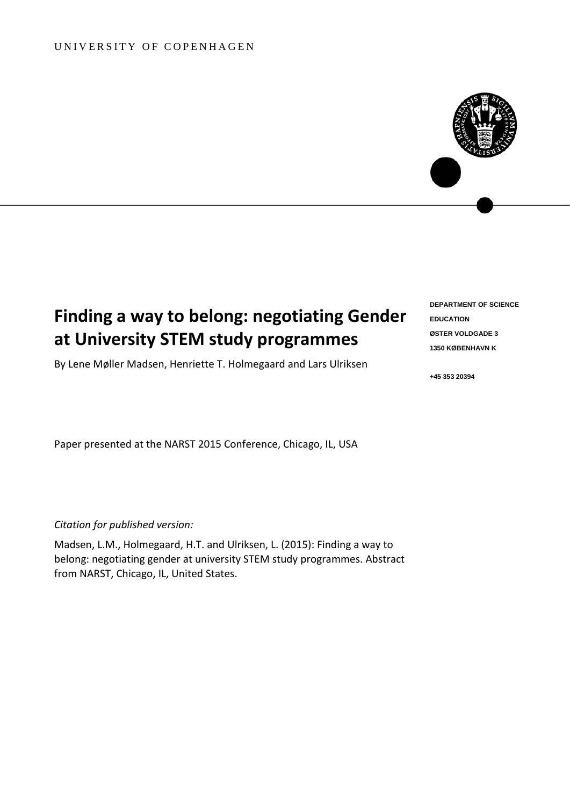## UNIVERSITY OF COPENHAGEN



By Lene Møller Madsen, Henriette T. Holmegaard and Lars Ulriksen

**DEPARTMENT OF SCIENCE EDUCATION ØSTER VOLDGADE 3 1350 KØBENHAVN K** 

**+45 353 20394**

Paper presented at the NARST 2015 Conference, Chicago, IL, USA

*Citation for published version:*

Madsen, L.M., Holmegaard, H.T. and Ulriksen, L. (2015): Finding a way to belong: negotiating gender at university STEM study programmes. Abstract from NARST, Chicago, IL, United States.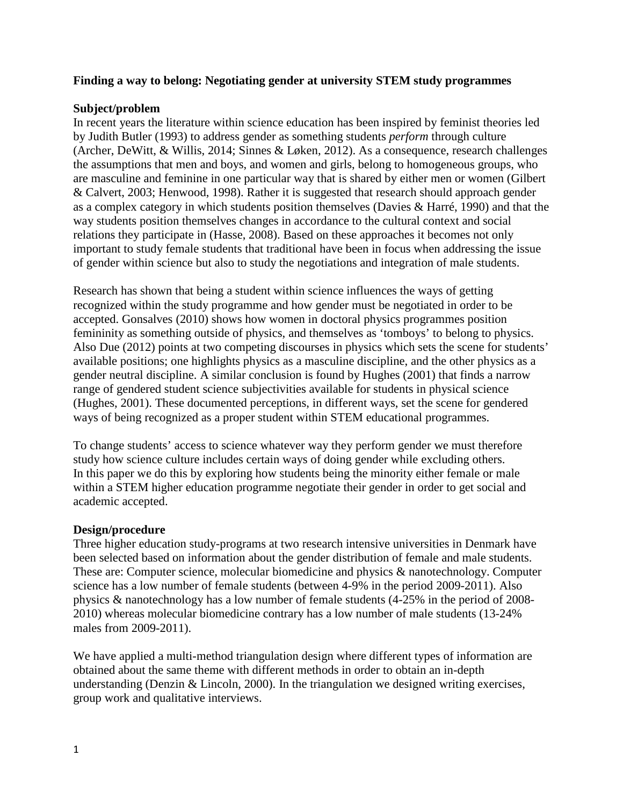## **Finding a way to belong: Negotiating gender at university STEM study programmes**

### **Subject/problem**

In recent years the literature within science education has been inspired by feminist theories led by Judith Butler [\(1993\)](#page-5-0) to address gender as something students *perform* through culture [\(Archer, DeWitt, & Willis, 2014;](#page-5-1) [Sinnes & Løken, 2012\)](#page-5-2). As a consequence, research challenges the assumptions that men and boys, and women and girls, belong to homogeneous groups, who are masculine and feminine in one particular way that is shared by either men or women [\(Gilbert](#page-5-3)  [& Calvert, 2003;](#page-5-3) [Henwood, 1998\)](#page-5-4). Rather it is suggested that research should approach gender as a complex category in which students position themselves [\(Davies & Harré, 1990\)](#page-5-5) and that the way students position themselves changes in accordance to the cultural context and social relations they participate in [\(Hasse, 2008\)](#page-5-6). Based on these approaches it becomes not only important to study female students that traditional have been in focus when addressing the issue of gender within science but also to study the negotiations and integration of male students.

Research has shown that being a student within science influences the ways of getting recognized within the study programme and how gender must be negotiated in order to be accepted. Gonsalves [\(2010\)](#page-5-7) shows how women in doctoral physics programmes position femininity as something outside of physics, and themselves as 'tomboys' to belong to physics. Also Due [\(2012\)](#page-5-8) points at two competing discourses in physics which sets the scene for students' available positions; one highlights physics as a masculine discipline, and the other physics as a gender neutral discipline. A similar conclusion is found by Hughes (2001) that finds a narrow range of gendered student science subjectivities available for students in physical science [\(Hughes, 2001\)](#page-5-9). These documented perceptions, in different ways, set the scene for gendered ways of being recognized as a proper student within STEM educational programmes.

To change students' access to science whatever way they perform gender we must therefore study how science culture includes certain ways of doing gender while excluding others. In this paper we do this by exploring how students being the minority either female or male within a STEM higher education programme negotiate their gender in order to get social and academic accepted.

#### **Design/procedure**

Three higher education study-programs at two research intensive universities in Denmark have been selected based on information about the gender distribution of female and male students. These are: Computer science, molecular biomedicine and physics & nanotechnology. Computer science has a low number of female students (between 4-9% in the period 2009-2011). Also physics & nanotechnology has a low number of female students (4-25% in the period of 2008- 2010) whereas molecular biomedicine contrary has a low number of male students (13-24% males from 2009-2011).

We have applied a multi-method triangulation design where different types of information are obtained about the same theme with different methods in order to obtain an in-depth understanding [\(Denzin & Lincoln, 2000\)](#page-5-10). In the triangulation we designed writing exercises, group work and qualitative interviews.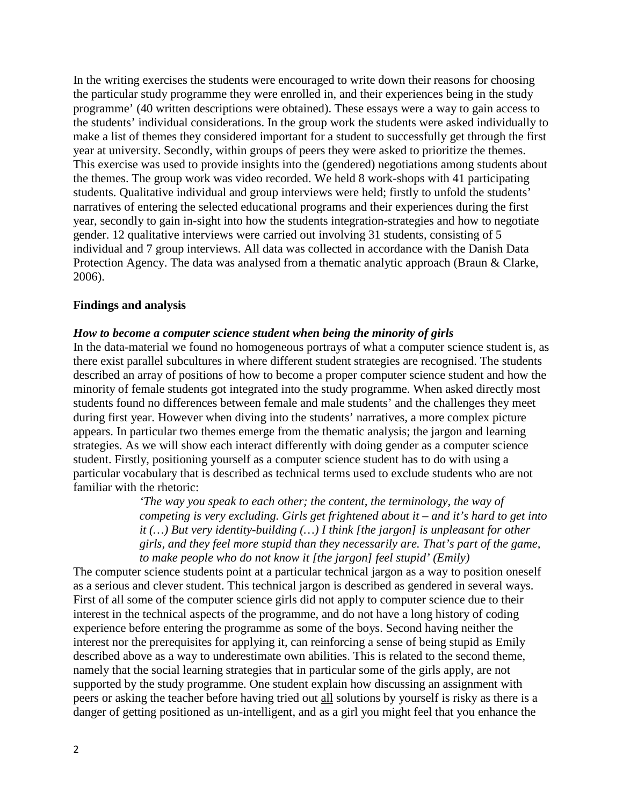In the writing exercises the students were encouraged to write down their reasons for choosing the particular study programme they were enrolled in, and their experiences being in the study programme' (40 written descriptions were obtained). These essays were a way to gain access to the students' individual considerations. In the group work the students were asked individually to make a list of themes they considered important for a student to successfully get through the first year at university. Secondly, within groups of peers they were asked to prioritize the themes. This exercise was used to provide insights into the (gendered) negotiations among students about the themes. The group work was video recorded. We held 8 work-shops with 41 participating students. Qualitative individual and group interviews were held; firstly to unfold the students' narratives of entering the selected educational programs and their experiences during the first year, secondly to gain in-sight into how the students integration-strategies and how to negotiate gender. 12 qualitative interviews were carried out involving 31 students, consisting of 5 individual and 7 group interviews. All data was collected in accordance with the Danish Data Protection Agency. The data was analysed from a thematic analytic approach [\(Braun & Clarke,](#page-5-11)  [2006\)](#page-5-11).

#### **Findings and analysis**

#### *How to become a computer science student when being the minority of girls*

In the data-material we found no homogeneous portrays of what a computer science student is, as there exist parallel subcultures in where different student strategies are recognised. The students described an array of positions of how to become a proper computer science student and how the minority of female students got integrated into the study programme. When asked directly most students found no differences between female and male students' and the challenges they meet during first year. However when diving into the students' narratives, a more complex picture appears. In particular two themes emerge from the thematic analysis; the jargon and learning strategies. As we will show each interact differently with doing gender as a computer science student. Firstly, positioning yourself as a computer science student has to do with using a particular vocabulary that is described as technical terms used to exclude students who are not familiar with the rhetoric:

> *'The way you speak to each other; the content, the terminology, the way of competing is very excluding. Girls get frightened about it – and it's hard to get into it (…) But very identity-building (…) I think [the jargon] is unpleasant for other girls, and they feel more stupid than they necessarily are. That's part of the game, to make people who do not know it [the jargon] feel stupid' (Emily)*

The computer science students point at a particular technical jargon as a way to position oneself as a serious and clever student. This technical jargon is described as gendered in several ways. First of all some of the computer science girls did not apply to computer science due to their interest in the technical aspects of the programme, and do not have a long history of coding experience before entering the programme as some of the boys. Second having neither the interest nor the prerequisites for applying it, can reinforcing a sense of being stupid as Emily described above as a way to underestimate own abilities. This is related to the second theme, namely that the social learning strategies that in particular some of the girls apply, are not supported by the study programme. One student explain how discussing an assignment with peers or asking the teacher before having tried out all solutions by yourself is risky as there is a danger of getting positioned as un-intelligent, and as a girl you might feel that you enhance the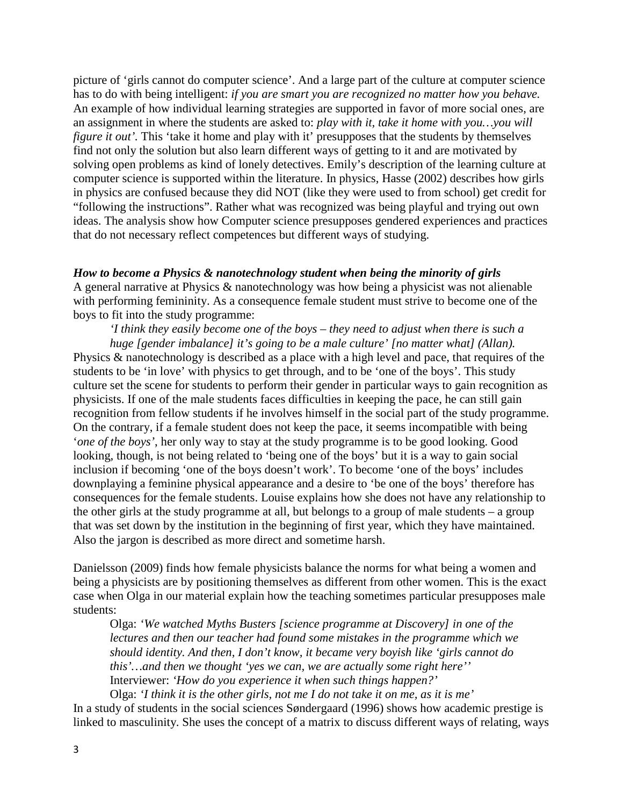picture of 'girls cannot do computer science'. And a large part of the culture at computer science has to do with being intelligent: *if you are smart you are recognized no matter how you behave.* An example of how individual learning strategies are supported in favor of more social ones, are an assignment in where the students are asked to: *play with it, take it home with you…you will figure it out'*. This 'take it home and play with it' presupposes that the students by themselves find not only the solution but also learn different ways of getting to it and are motivated by solving open problems as kind of lonely detectives. Emily's description of the learning culture at computer science is supported within the literature. In physics, Hasse [\(2002\)](#page-5-6) describes how girls in physics are confused because they did NOT (like they were used to from school) get credit for "following the instructions". Rather what was recognized was being playful and trying out own ideas. The analysis show how Computer science presupposes gendered experiences and practices that do not necessary reflect competences but different ways of studying.

#### *How to become a Physics & nanotechnology student when being the minority of girls*

A general narrative at Physics & nanotechnology was how being a physicist was not alienable with performing femininity. As a consequence female student must strive to become one of the boys to fit into the study programme:

*'I think they easily become one of the boys – they need to adjust when there is such a huge [gender imbalance] it's going to be a male culture' [no matter what] (Allan).*

Physics & nanotechnology is described as a place with a high level and pace, that requires of the students to be 'in love' with physics to get through, and to be 'one of the boys'. This study culture set the scene for students to perform their gender in particular ways to gain recognition as physicists. If one of the male students faces difficulties in keeping the pace, he can still gain recognition from fellow students if he involves himself in the social part of the study programme. On the contrary, if a female student does not keep the pace, it seems incompatible with being '*one of the boys'*, her only way to stay at the study programme is to be good looking. Good looking, though, is not being related to 'being one of the boys' but it is a way to gain social inclusion if becoming 'one of the boys doesn't work'. To become 'one of the boys' includes downplaying a feminine physical appearance and a desire to 'be one of the boys' therefore has consequences for the female students. Louise explains how she does not have any relationship to the other girls at the study programme at all, but belongs to a group of male students – a group that was set down by the institution in the beginning of first year, which they have maintained. Also the jargon is described as more direct and sometime harsh.

Danielsson [\(2009\)](#page-5-0) finds how female physicists balance the norms for what being a women and being a physicists are by positioning themselves as different from other women. This is the exact case when Olga in our material explain how the teaching sometimes particular presupposes male students:

Olga: *'We watched Myths Busters [science programme at Discovery] in one of the lectures and then our teacher had found some mistakes in the programme which we should identity. And then, I don't know, it became very boyish like 'girls cannot do this'…and then we thought 'yes we can, we are actually some right here''* Interviewer: *'How do you experience it when such things happen?'*

Olga: *'I think it is the other girls, not me I do not take it on me, as it is me'*  In a study of students in the social sciences Søndergaard (1996) shows how academic prestige is linked to masculinity. She uses the concept of a matrix to discuss different ways of relating, ways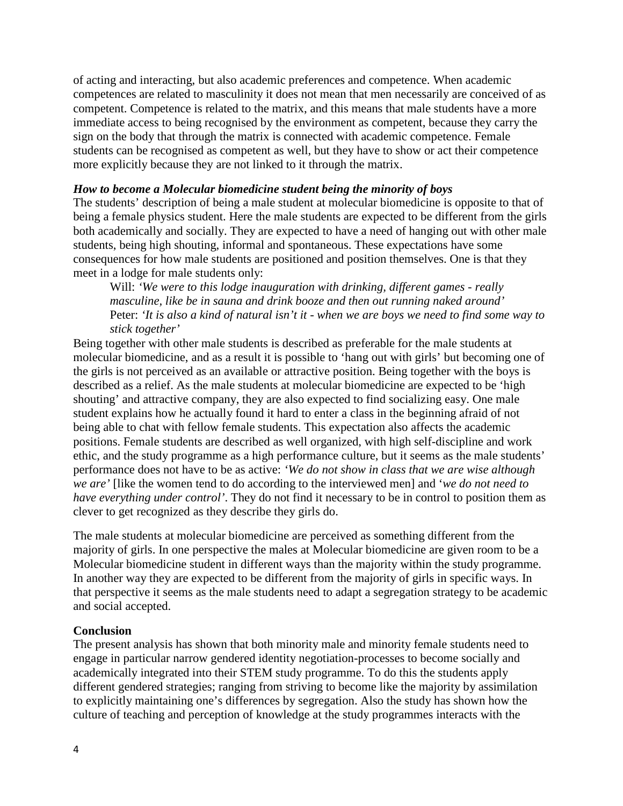of acting and interacting, but also academic preferences and competence. When academic competences are related to masculinity it does not mean that men necessarily are conceived of as competent. Competence is related to the matrix, and this means that male students have a more immediate access to being recognised by the environment as competent, because they carry the sign on the body that through the matrix is connected with academic competence. Female students can be recognised as competent as well, but they have to show or act their competence more explicitly because they are not linked to it through the matrix.

#### *How to become a Molecular biomedicine student being the minority of boys*

The students' description of being a male student at molecular biomedicine is opposite to that of being a female physics student. Here the male students are expected to be different from the girls both academically and socially. They are expected to have a need of hanging out with other male students, being high shouting, informal and spontaneous. These expectations have some consequences for how male students are positioned and position themselves. One is that they meet in a lodge for male students only:

Will: *'We were to this lodge inauguration with drinking, different games - really masculine, like be in sauna and drink booze and then out running naked around'* Peter: *'It is also a kind of natural isn't it - when we are boys we need to find some way to stick together'* 

Being together with other male students is described as preferable for the male students at molecular biomedicine, and as a result it is possible to 'hang out with girls' but becoming one of the girls is not perceived as an available or attractive position. Being together with the boys is described as a relief. As the male students at molecular biomedicine are expected to be 'high shouting' and attractive company, they are also expected to find socializing easy. One male student explains how he actually found it hard to enter a class in the beginning afraid of not being able to chat with fellow female students. This expectation also affects the academic positions. Female students are described as well organized, with high self-discipline and work ethic, and the study programme as a high performance culture, but it seems as the male students' performance does not have to be as active: *'We do not show in class that we are wise although we are'* [like the women tend to do according to the interviewed men] and '*we do not need to have everything under control'*. They do not find it necessary to be in control to position them as clever to get recognized as they describe they girls do.

The male students at molecular biomedicine are perceived as something different from the majority of girls. In one perspective the males at Molecular biomedicine are given room to be a Molecular biomedicine student in different ways than the majority within the study programme. In another way they are expected to be different from the majority of girls in specific ways. In that perspective it seems as the male students need to adapt a segregation strategy to be academic and social accepted.

# **Conclusion**

The present analysis has shown that both minority male and minority female students need to engage in particular narrow gendered identity negotiation-processes to become socially and academically integrated into their STEM study programme. To do this the students apply different gendered strategies; ranging from striving to become like the majority by assimilation to explicitly maintaining one's differences by segregation. Also the study has shown how the culture of teaching and perception of knowledge at the study programmes interacts with the